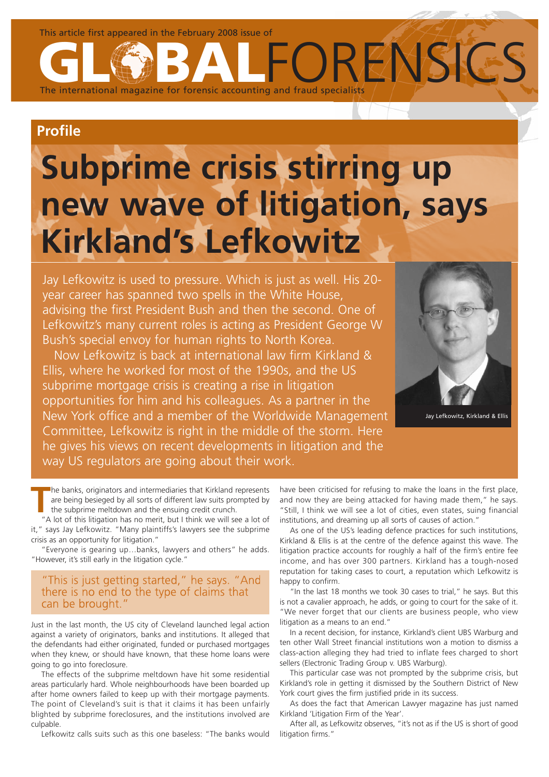This article first appeared in the February 2008 issue of

The international magazine for forensic accounting and fraud specialists

# **Profile**

# **Subprime crisis stirring up new wave of litigation, says Kirkland's Lefkowitz**

Jay Lefkowitz is used to pressure. Which is just as well. His 20 year career has spanned two spells in the White House, advising the first President Bush and then the second. One of Lefkowitz's many current roles is acting as President George W Bush's special envoy for human rights to North Korea.

Now Lefkowitz is back at international law firm Kirkland & Ellis, where he worked for most of the 1990s, and the US subprime mortgage crisis is creating a rise in litigation opportunities for him and his colleagues. As a partner in the New York office and a member of the Worldwide Management Committee, Lefkowitz is right in the middle of the storm. Here he gives his views on recent developments in litigation and the way US regulators are going about their work.



**RENSIGS** 

Jay Lefkowitz, Kirkland & Ellis

**T**he banks, originators and intermediaries that Kirkland represents are being besieged by all sorts of different law suits prompted by the subprime meltdown and the ensuing credit crunch.

"A lot of this litigation has no merit, but I think we will see a lot of it," says Jay Lefkowitz. "Many plaintiffs's lawyers see the subprime crisis as an opportunity for litigation."

"Everyone is gearing up…banks, lawyers and others" he adds. "However, it's still early in the litigation cycle."

# "This is just getting started," he says. "And there is no end to the type of claims that can be brought."

Just in the last month, the US city of Cleveland launched legal action against a variety of originators, banks and institutions. It alleged that the defendants had either originated, funded or purchased mortgages when they knew, or should have known, that these home loans were going to go into foreclosure.

The effects of the subprime meltdown have hit some residential areas particularly hard. Whole neighbourhoods have been boarded up after home owners failed to keep up with their mortgage payments. The point of Cleveland's suit is that it claims it has been unfairly blighted by subprime foreclosures, and the institutions involved are culpable.

Lefkowitz calls suits such as this one baseless: "The banks would

have been criticised for refusing to make the loans in the first place, and now they are being attacked for having made them," he says. "Still, I think we will see a lot of cities, even states, suing financial institutions, and dreaming up all sorts of causes of action."

As one of the US's leading defence practices for such institutions, Kirkland & Ellis is at the centre of the defence against this wave. The litigation practice accounts for roughly a half of the firm's entire fee income, and has over 300 partners. Kirkland has a tough-nosed reputation for taking cases to court, a reputation which Lefkowitz is happy to confirm.

"In the last 18 months we took 30 cases to trial," he says. But this is not a cavalier approach, he adds, or going to court for the sake of it. "We never forget that our clients are business people, who view litigation as a means to an end."

In a recent decision, for instance, Kirkland's client UBS Warburg and ten other Wall Street financial institutions won a motion to dismiss a class-action alleging they had tried to inflate fees charged to short sellers (Electronic Trading Group v. UBS Warburg).

This particular case was not prompted by the subprime crisis, but Kirkland's role in getting it dismissed by the Southern District of New York court gives the firm justified pride in its success.

As does the fact that American Lawyer magazine has just named Kirkland 'Litigation Firm of the Year'.

After all, as Lefkowitz observes, "it's not as if the US is short of good litigation firms."